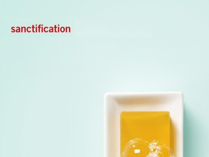### sanctification

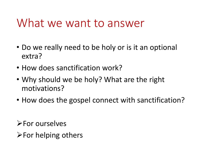#### What we want to answer

- Do we really need to be holy or is it an optional extra?
- How does sanctification work?
- Why should we be holy? What are the right motivations?
- How does the gospel connect with sanctification?

**Example 1** 

 $\triangleright$  For helping others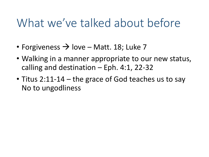### What we've talked about before

- Forgiveness  $\rightarrow$  love Matt. 18; Luke 7
- Walking in a manner appropriate to our new status, calling and destination  $-$  Eph. 4:1, 22-32
- Titus 2:11-14 the grace of God teaches us to say No to ungodliness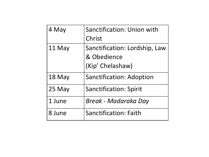| 4 May  | Sanctification: Union with      |
|--------|---------------------------------|
|        | Christ                          |
| 11 May | Sanctification: Lordship, Law   |
|        | & Obedience                     |
|        | (Kip' Chelashaw)                |
| 18 May | <b>Sanctification: Adoption</b> |
| 25 May | <b>Sanctification: Spirit</b>   |
| 1 June | Break - Madaraka Day            |
| 8 June | <b>Sanctification: Faith</b>    |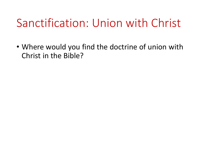# Sanctification: Union with Christ

• Where would you find the doctrine of union with Christ in the Bible?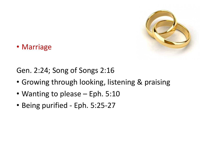

• Marriage

Gen. 2:24; Song of Songs 2:16

- Growing through looking, listening & praising
- Wanting to please Eph. 5:10
- Being purified Eph. 5:25-27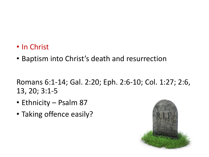- In Christ
- Baptism into Christ's death and resurrection

Romans 6:1-14; Gal. 2:20; Eph. 2:6-10; Col. 1:27; 2:6, 13, 20; 3:1-5

- Ethnicity Psalm 87
- Taking offence easily?

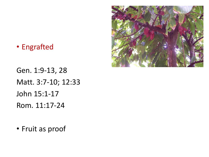

• Engrafted

Gen. 1:9-13, 28 Matt. 3:7-10; 12:33 John 15:1-17 Rom. 11:17-24

• Fruit as proof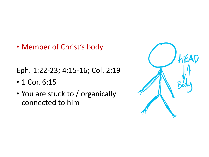• Member of Christ's body

Eph. 1:22-23; 4:15-16; Col. 2:19

- 1 Cor. 6:15
- You are stuck to / organically connected to him